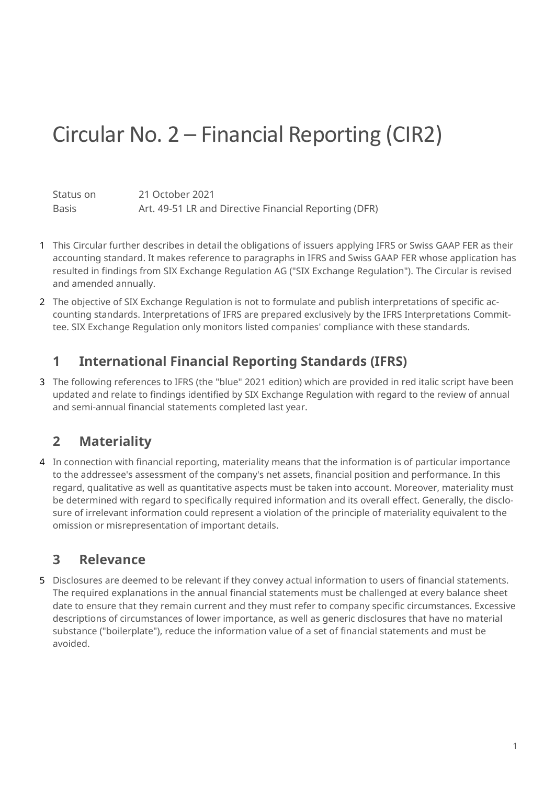# Circular No. 2 – Financial Reporting (CIR2)

Status on 21 October 2021 Basis **Art. 49-51 LR and Directive Financial Reporting (DFR)** 

- 1 This Circular further describes in detail the obligations of issuers applying IFRS or Swiss GAAP FER as their accounting standard. It makes reference to paragraphs in IFRS and Swiss GAAP FER whose application has resulted in findings from SIX Exchange Regulation AG ("SIX Exchange Regulation"). The Circular is revised and amended annually.
- 2 The objective of SIX Exchange Regulation is not to formulate and publish interpretations of specific accounting standards. Interpretations of IFRS are prepared exclusively by the IFRS Interpretations Committee. SIX Exchange Regulation only monitors listed companies' compliance with these standards.

# **1 International Financial Reporting Standards (IFRS)**

3 The following references to IFRS (the "blue" 2021 edition) which are provided in red italic script have been updated and relate to findings identified by SIX Exchange Regulation with regard to the review of annual and semi-annual financial statements completed last year.

# **2 Materiality**

4 In connection with financial reporting, materiality means that the information is of particular importance to the addressee's assessment of the company's net assets, financial position and performance. In this regard, qualitative as well as quantitative aspects must be taken into account. Moreover, materiality must be determined with regard to specifically required information and its overall effect. Generally, the disclosure of irrelevant information could represent a violation of the principle of materiality equivalent to the omission or misrepresentation of important details.

## **3 Relevance**

5 Disclosures are deemed to be relevant if they convey actual information to users of financial statements. The required explanations in the annual financial statements must be challenged at every balance sheet date to ensure that they remain current and they must refer to company specific circumstances. Excessive descriptions of circumstances of lower importance, as well as generic disclosures that have no material substance ("boilerplate"), reduce the information value of a set of financial statements and must be avoided.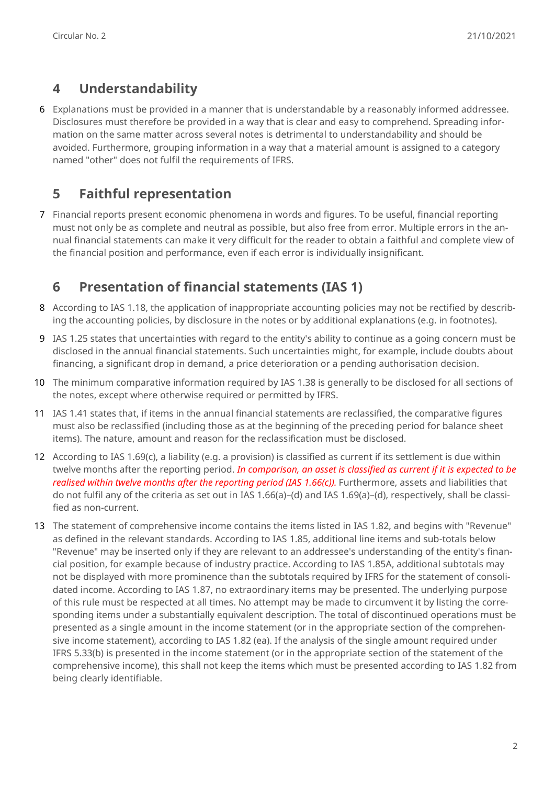# **4 Understandability**

6 Explanations must be provided in a manner that is understandable by a reasonably informed addressee. Disclosures must therefore be provided in a way that is clear and easy to comprehend. Spreading information on the same matter across several notes is detrimental to understandability and should be avoided. Furthermore, grouping information in a way that a material amount is assigned to a category named "other" does not fulfil the requirements of IFRS.

## **5 Faithful representation**

7 Financial reports present economic phenomena in words and figures. To be useful, financial reporting must not only be as complete and neutral as possible, but also free from error. Multiple errors in the annual financial statements can make it very difficult for the reader to obtain a faithful and complete view of the financial position and performance, even if each error is individually insignificant.

# **6 Presentation of financial statements (IAS 1)**

- 8 According to IAS 1.18, the application of inappropriate accounting policies may not be rectified by describing the accounting policies, by disclosure in the notes or by additional explanations (e.g. in footnotes).
- 9 IAS 1.25 states that uncertainties with regard to the entity's ability to continue as a going concern must be disclosed in the annual financial statements. Such uncertainties might, for example, include doubts about financing, a significant drop in demand, a price deterioration or a pending authorisation decision.
- 10 The minimum comparative information required by IAS 1.38 is generally to be disclosed for all sections of the notes, except where otherwise required or permitted by IFRS.
- 11 IAS 1.41 states that, if items in the annual financial statements are reclassified, the comparative figures must also be reclassified (including those as at the beginning of the preceding period for balance sheet items). The nature, amount and reason for the reclassification must be disclosed.
- 12 According to IAS 1.69(c), a liability (e.g. a provision) is classified as current if its settlement is due within twelve months after the reporting period. *In comparison, an asset is classified as current if it is expected to be realised within twelve months after the reporting period (IAS 1.66(c)).* Furthermore, assets and liabilities that do not fulfil any of the criteria as set out in IAS 1.66(a)–(d) and IAS 1.69(a)–(d), respectively, shall be classified as non-current.
- 13 The statement of comprehensive income contains the items listed in IAS 1.82, and begins with "Revenue" as defined in the relevant standards. According to IAS 1.85, additional line items and sub-totals below "Revenue" may be inserted only if they are relevant to an addressee's understanding of the entity's financial position, for example because of industry practice. According to IAS 1.85A, additional subtotals may not be displayed with more prominence than the subtotals required by IFRS for the statement of consolidated income. According to IAS 1.87, no extraordinary items may be presented. The underlying purpose of this rule must be respected at all times. No attempt may be made to circumvent it by listing the corresponding items under a substantially equivalent description. The total of discontinued operations must be presented as a single amount in the income statement (or in the appropriate section of the comprehensive income statement), according to IAS 1.82 (ea). If the analysis of the single amount required under IFRS 5.33(b) is presented in the income statement (or in the appropriate section of the statement of the comprehensive income), this shall not keep the items which must be presented according to IAS 1.82 from being clearly identifiable.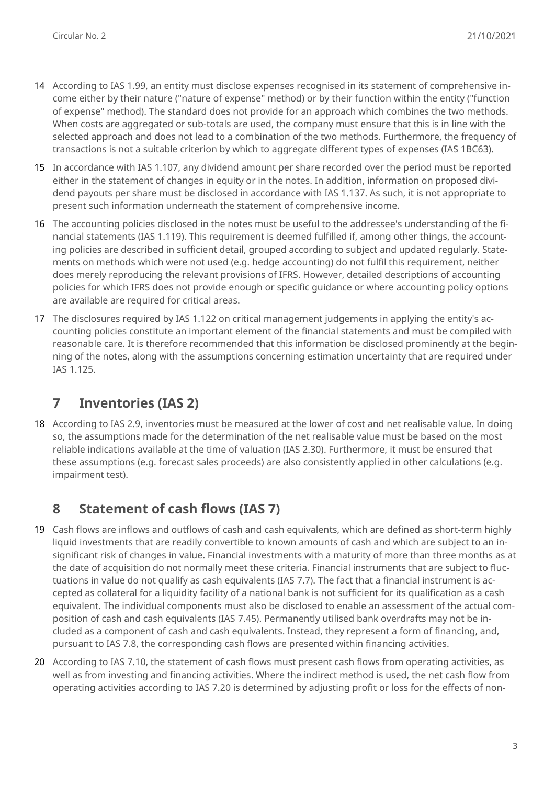- 14 According to IAS 1.99, an entity must disclose expenses recognised in its statement of comprehensive income either by their nature ("nature of expense" method) or by their function within the entity ("function of expense" method). The standard does not provide for an approach which combines the two methods. When costs are aggregated or sub-totals are used, the company must ensure that this is in line with the selected approach and does not lead to a combination of the two methods. Furthermore, the frequency of transactions is not a suitable criterion by which to aggregate different types of expenses (IAS 1BC63).
- 15 In accordance with IAS 1.107, any dividend amount per share recorded over the period must be reported either in the statement of changes in equity or in the notes. In addition, information on proposed dividend payouts per share must be disclosed in accordance with IAS 1.137. As such, it is not appropriate to present such information underneath the statement of comprehensive income.
- 16 The accounting policies disclosed in the notes must be useful to the addressee's understanding of the financial statements (IAS 1.119). This requirement is deemed fulfilled if, among other things, the accounting policies are described in sufficient detail, grouped according to subject and updated regularly. Statements on methods which were not used (e.g. hedge accounting) do not fulfil this requirement, neither does merely reproducing the relevant provisions of IFRS. However, detailed descriptions of accounting policies for which IFRS does not provide enough or specific guidance or where accounting policy options are available are required for critical areas.
- 17 The disclosures required by IAS 1.122 on critical management judgements in applying the entity's accounting policies constitute an important element of the financial statements and must be compiled with reasonable care. It is therefore recommended that this information be disclosed prominently at the beginning of the notes, along with the assumptions concerning estimation uncertainty that are required under IAS 1.125.

# **7 Inventories (IAS 2)**

18 According to IAS 2.9, inventories must be measured at the lower of cost and net realisable value. In doing so, the assumptions made for the determination of the net realisable value must be based on the most reliable indications available at the time of valuation (IAS 2.30). Furthermore, it must be ensured that these assumptions (e.g. forecast sales proceeds) are also consistently applied in other calculations (e.g. impairment test).

## **8 Statement of cash flows (IAS 7)**

- 19 Cash flows are inflows and outflows of cash and cash equivalents, which are defined as short-term highly liquid investments that are readily convertible to known amounts of cash and which are subject to an insignificant risk of changes in value. Financial investments with a maturity of more than three months as at the date of acquisition do not normally meet these criteria. Financial instruments that are subject to fluctuations in value do not qualify as cash equivalents (IAS 7.7). The fact that a financial instrument is accepted as collateral for a liquidity facility of a national bank is not sufficient for its qualification as a cash equivalent. The individual components must also be disclosed to enable an assessment of the actual composition of cash and cash equivalents (IAS 7.45). Permanently utilised bank overdrafts may not be included as a component of cash and cash equivalents. Instead, they represent a form of financing, and, pursuant to IAS 7.8, the corresponding cash flows are presented within financing activities.
- 20 According to IAS 7.10, the statement of cash flows must present cash flows from operating activities, as well as from investing and financing activities. Where the indirect method is used, the net cash flow from operating activities according to IAS 7.20 is determined by adjusting profit or loss for the effects of non-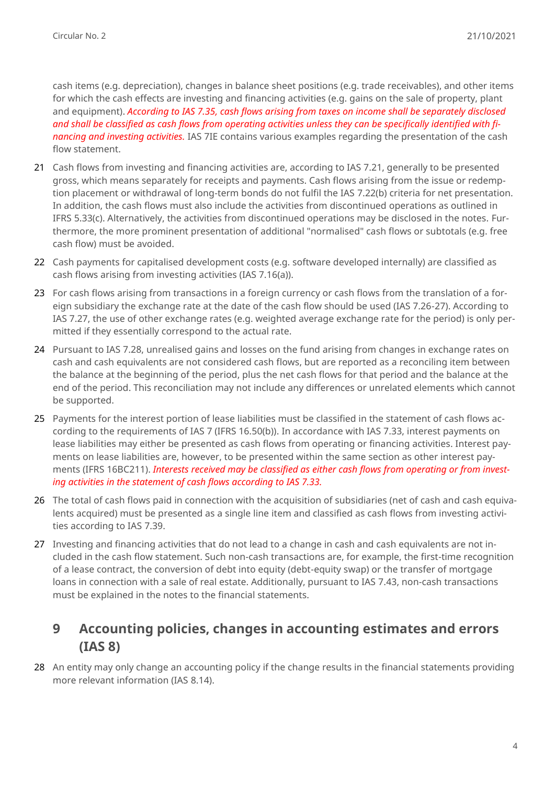cash items (e.g. depreciation), changes in balance sheet positions (e.g. trade receivables), and other items for which the cash effects are investing and financing activities (e.g. gains on the sale of property, plant and equipment). *According to IAS 7.35, cash flows arising from taxes on income shall be separately disclosed and shall be classified as cash flows from operating activities unless they can be specifically identified with financing and investing activities.* IAS 7IE contains various examples regarding the presentation of the cash flow statement.

- 21 Cash flows from investing and financing activities are, according to IAS 7.21, generally to be presented gross, which means separately for receipts and payments. Cash flows arising from the issue or redemption placement or withdrawal of long-term bonds do not fulfil the IAS 7.22(b) criteria for net presentation. In addition, the cash flows must also include the activities from discontinued operations as outlined in IFRS 5.33(c). Alternatively, the activities from discontinued operations may be disclosed in the notes. Furthermore, the more prominent presentation of additional "normalised" cash flows or subtotals (e.g. free cash flow) must be avoided.
- 22 Cash payments for capitalised development costs (e.g. software developed internally) are classified as cash flows arising from investing activities (IAS 7.16(a)).
- 23 For cash flows arising from transactions in a foreign currency or cash flows from the translation of a foreign subsidiary the exchange rate at the date of the cash flow should be used (IAS 7.26-27). According to IAS 7.27, the use of other exchange rates (e.g. weighted average exchange rate for the period) is only permitted if they essentially correspond to the actual rate.
- 24 Pursuant to IAS 7.28, unrealised gains and losses on the fund arising from changes in exchange rates on cash and cash equivalents are not considered cash flows, but are reported as a reconciling item between the balance at the beginning of the period, plus the net cash flows for that period and the balance at the end of the period. This reconciliation may not include any differences or unrelated elements which cannot be supported.
- 25 Payments for the interest portion of lease liabilities must be classified in the statement of cash flows according to the requirements of IAS 7 (IFRS 16.50(b)). In accordance with IAS 7.33, interest payments on lease liabilities may either be presented as cash flows from operating or financing activities. Interest payments on lease liabilities are, however, to be presented within the same section as other interest payments (IFRS 16BC211). *Interests received may be classified as either cash flows from operating or from investing activities in the statement of cash flows according to IAS 7.33.*
- 26 The total of cash flows paid in connection with the acquisition of subsidiaries (net of cash and cash equivalents acquired) must be presented as a single line item and classified as cash flows from investing activities according to IAS 7.39.
- 27 Investing and financing activities that do not lead to a change in cash and cash equivalents are not included in the cash flow statement. Such non-cash transactions are, for example, the first-time recognition of a lease contract, the conversion of debt into equity (debt-equity swap) or the transfer of mortgage loans in connection with a sale of real estate. Additionally, pursuant to IAS 7.43, non-cash transactions must be explained in the notes to the financial statements.

#### **9 Accounting policies, changes in accounting estimates and errors (IAS 8)**

28 An entity may only change an accounting policy if the change results in the financial statements providing more relevant information (IAS 8.14).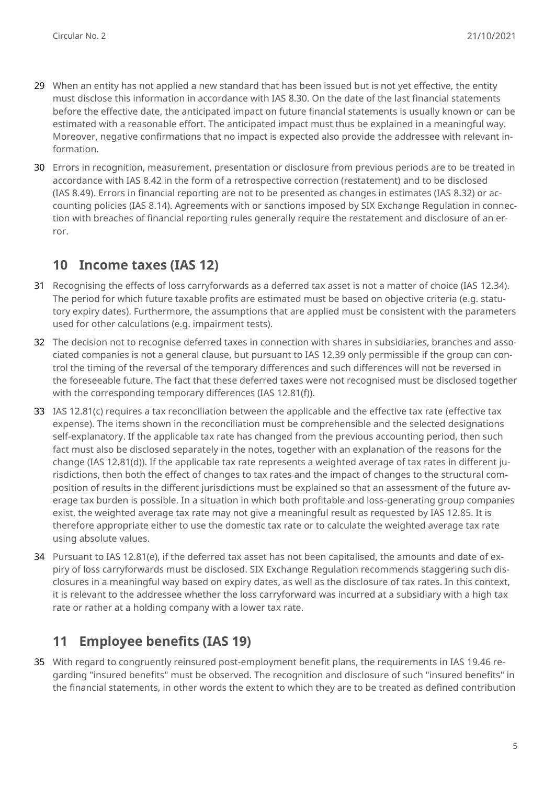- 29 When an entity has not applied a new standard that has been issued but is not yet effective, the entity must disclose this information in accordance with IAS 8.30. On the date of the last financial statements before the effective date, the anticipated impact on future financial statements is usually known or can be estimated with a reasonable effort. The anticipated impact must thus be explained in a meaningful way. Moreover, negative confirmations that no impact is expected also provide the addressee with relevant information.
- 30 Errors in recognition, measurement, presentation or disclosure from previous periods are to be treated in accordance with IAS 8.42 in the form of a retrospective correction (restatement) and to be disclosed (IAS 8.49). Errors in financial reporting are not to be presented as changes in estimates (IAS 8.32) or accounting policies (IAS 8.14). Agreements with or sanctions imposed by SIX Exchange Regulation in connection with breaches of financial reporting rules generally require the restatement and disclosure of an error.

# **10 Income taxes (IAS 12)**

- 31 Recognising the effects of loss carryforwards as a deferred tax asset is not a matter of choice (IAS 12.34). The period for which future taxable profits are estimated must be based on objective criteria (e.g. statutory expiry dates). Furthermore, the assumptions that are applied must be consistent with the parameters used for other calculations (e.g. impairment tests).
- 32 The decision not to recognise deferred taxes in connection with shares in subsidiaries, branches and associated companies is not a general clause, but pursuant to IAS 12.39 only permissible if the group can control the timing of the reversal of the temporary differences and such differences will not be reversed in the foreseeable future. The fact that these deferred taxes were not recognised must be disclosed together with the corresponding temporary differences (IAS 12.81(f)).
- 33 IAS 12.81(c) requires a tax reconciliation between the applicable and the effective tax rate (effective tax expense). The items shown in the reconciliation must be comprehensible and the selected designations self-explanatory. If the applicable tax rate has changed from the previous accounting period, then such fact must also be disclosed separately in the notes, together with an explanation of the reasons for the change (IAS 12.81(d)). If the applicable tax rate represents a weighted average of tax rates in different jurisdictions, then both the effect of changes to tax rates and the impact of changes to the structural composition of results in the different jurisdictions must be explained so that an assessment of the future average tax burden is possible. In a situation in which both profitable and loss-generating group companies exist, the weighted average tax rate may not give a meaningful result as requested by IAS 12.85. It is therefore appropriate either to use the domestic tax rate or to calculate the weighted average tax rate using absolute values.
- 34 Pursuant to IAS 12.81(e), if the deferred tax asset has not been capitalised, the amounts and date of expiry of loss carryforwards must be disclosed. SIX Exchange Regulation recommends staggering such disclosures in a meaningful way based on expiry dates, as well as the disclosure of tax rates. In this context, it is relevant to the addressee whether the loss carryforward was incurred at a subsidiary with a high tax rate or rather at a holding company with a lower tax rate.

# **11 Employee benefits (IAS 19)**

35 With regard to congruently reinsured post-employment benefit plans, the requirements in IAS 19.46 regarding "insured benefits" must be observed. The recognition and disclosure of such "insured benefits" in the financial statements, in other words the extent to which they are to be treated as defined contribution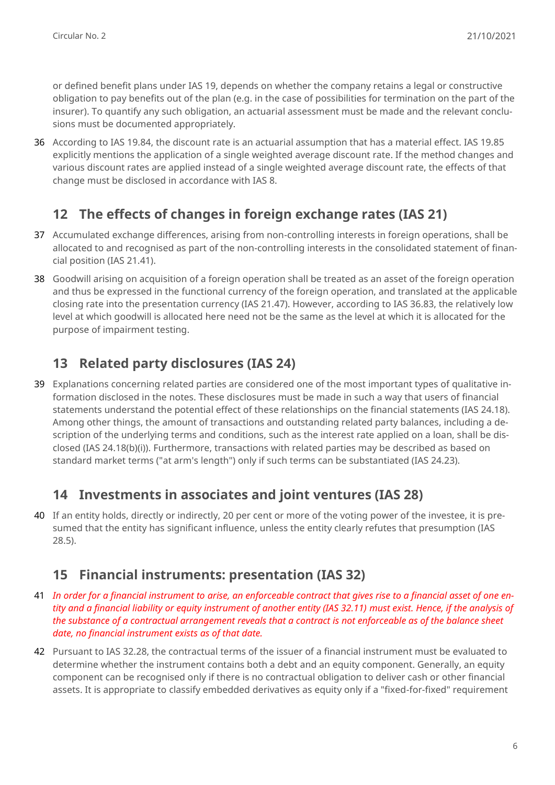or defined benefit plans under IAS 19, depends on whether the company retains a legal or constructive obligation to pay benefits out of the plan (e.g. in the case of possibilities for termination on the part of the insurer). To quantify any such obligation, an actuarial assessment must be made and the relevant conclusions must be documented appropriately.

36 According to IAS 19.84, the discount rate is an actuarial assumption that has a material effect. IAS 19.85 explicitly mentions the application of a single weighted average discount rate. If the method changes and various discount rates are applied instead of a single weighted average discount rate, the effects of that change must be disclosed in accordance with IAS 8.

# **12 The effects of changes in foreign exchange rates (IAS 21)**

- 37 Accumulated exchange differences, arising from non-controlling interests in foreign operations, shall be allocated to and recognised as part of the non-controlling interests in the consolidated statement of financial position (IAS 21.41).
- 38 Goodwill arising on acquisition of a foreign operation shall be treated as an asset of the foreign operation and thus be expressed in the functional currency of the foreign operation, and translated at the applicable closing rate into the presentation currency (IAS 21.47). However, according to IAS 36.83, the relatively low level at which goodwill is allocated here need not be the same as the level at which it is allocated for the purpose of impairment testing.

# **13 Related party disclosures (IAS 24)**

39 Explanations concerning related parties are considered one of the most important types of qualitative information disclosed in the notes. These disclosures must be made in such a way that users of financial statements understand the potential effect of these relationships on the financial statements (IAS 24.18). Among other things, the amount of transactions and outstanding related party balances, including a description of the underlying terms and conditions, such as the interest rate applied on a loan, shall be disclosed (IAS 24.18(b)(i)). Furthermore, transactions with related parties may be described as based on standard market terms ("at arm's length") only if such terms can be substantiated (IAS 24.23).

#### **14 Investments in associates and joint ventures (IAS 28)**

40 If an entity holds, directly or indirectly, 20 per cent or more of the voting power of the investee, it is presumed that the entity has significant influence, unless the entity clearly refutes that presumption (IAS 28.5).

## **15 Financial instruments: presentation (IAS 32)**

- 41 *In order for a financial instrument to arise, an enforceable contract that gives rise to a financial asset of one entity and a financial liability or equity instrument of another entity (IAS 32.11) must exist. Hence, if the analysis of the substance of a contractual arrangement reveals that a contract is not enforceable as of the balance sheet date, no financial instrument exists as of that date.*
- 42 Pursuant to IAS 32.28, the contractual terms of the issuer of a financial instrument must be evaluated to determine whether the instrument contains both a debt and an equity component. Generally, an equity component can be recognised only if there is no contractual obligation to deliver cash or other financial assets. It is appropriate to classify embedded derivatives as equity only if a "fixed-for-fixed" requirement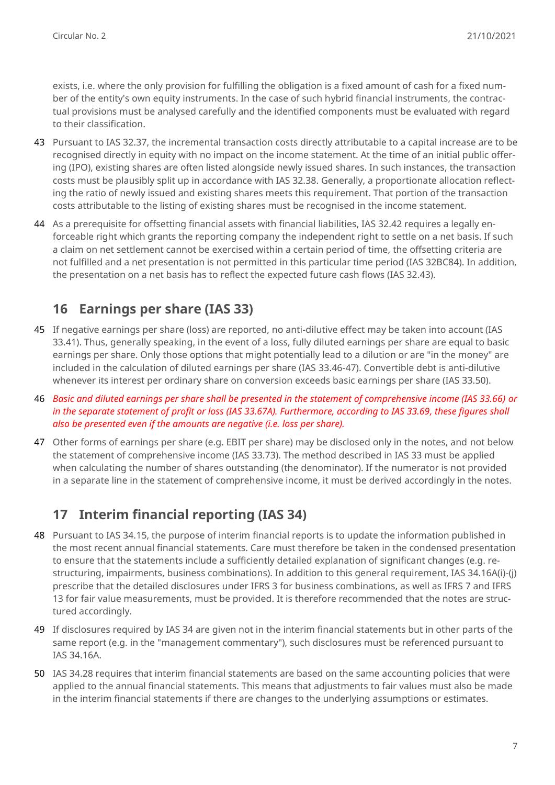exists, i.e. where the only provision for fulfilling the obligation is a fixed amount of cash for a fixed number of the entity's own equity instruments. In the case of such hybrid financial instruments, the contractual provisions must be analysed carefully and the identified components must be evaluated with regard to their classification.

- 43 Pursuant to IAS 32.37, the incremental transaction costs directly attributable to a capital increase are to be recognised directly in equity with no impact on the income statement. At the time of an initial public offering (IPO), existing shares are often listed alongside newly issued shares. In such instances, the transaction costs must be plausibly split up in accordance with IAS 32.38. Generally, a proportionate allocation reflecting the ratio of newly issued and existing shares meets this requirement. That portion of the transaction costs attributable to the listing of existing shares must be recognised in the income statement.
- 44 As a prerequisite for offsetting financial assets with financial liabilities, IAS 32.42 requires a legally enforceable right which grants the reporting company the independent right to settle on a net basis. If such a claim on net settlement cannot be exercised within a certain period of time, the offsetting criteria are not fulfilled and a net presentation is not permitted in this particular time period (IAS 32BC84). In addition, the presentation on a net basis has to reflect the expected future cash flows (IAS 32.43).

## **16 Earnings per share (IAS 33)**

- 45 If negative earnings per share (loss) are reported, no anti-dilutive effect may be taken into account (IAS 33.41). Thus, generally speaking, in the event of a loss, fully diluted earnings per share are equal to basic earnings per share. Only those options that might potentially lead to a dilution or are "in the money" are included in the calculation of diluted earnings per share (IAS 33.46-47). Convertible debt is anti-dilutive whenever its interest per ordinary share on conversion exceeds basic earnings per share (IAS 33.50).
- 46 *Basic and diluted earnings per share shall be presented in the statement of comprehensive income (IAS 33.66) or in the separate statement of profit or loss (IAS 33.67A). Furthermore, according to IAS 33.69, these figures shall also be presented even if the amounts are negative (i.e. loss per share).*
- 47 Other forms of earnings per share (e.g. EBIT per share) may be disclosed only in the notes, and not below the statement of comprehensive income (IAS 33.73). The method described in IAS 33 must be applied when calculating the number of shares outstanding (the denominator). If the numerator is not provided in a separate line in the statement of comprehensive income, it must be derived accordingly in the notes.

## **17 Interim financial reporting (IAS 34)**

- 48 Pursuant to IAS 34.15, the purpose of interim financial reports is to update the information published in the most recent annual financial statements. Care must therefore be taken in the condensed presentation to ensure that the statements include a sufficiently detailed explanation of significant changes (e.g. restructuring, impairments, business combinations). In addition to this general requirement, IAS 34.16A(i)-(j) prescribe that the detailed disclosures under IFRS 3 for business combinations, as well as IFRS 7 and IFRS 13 for fair value measurements, must be provided. It is therefore recommended that the notes are structured accordingly.
- 49 If disclosures required by IAS 34 are given not in the interim financial statements but in other parts of the same report (e.g. in the "management commentary"), such disclosures must be referenced pursuant to IAS 34.16A.
- 50 IAS 34.28 requires that interim financial statements are based on the same accounting policies that were applied to the annual financial statements. This means that adjustments to fair values must also be made in the interim financial statements if there are changes to the underlying assumptions or estimates.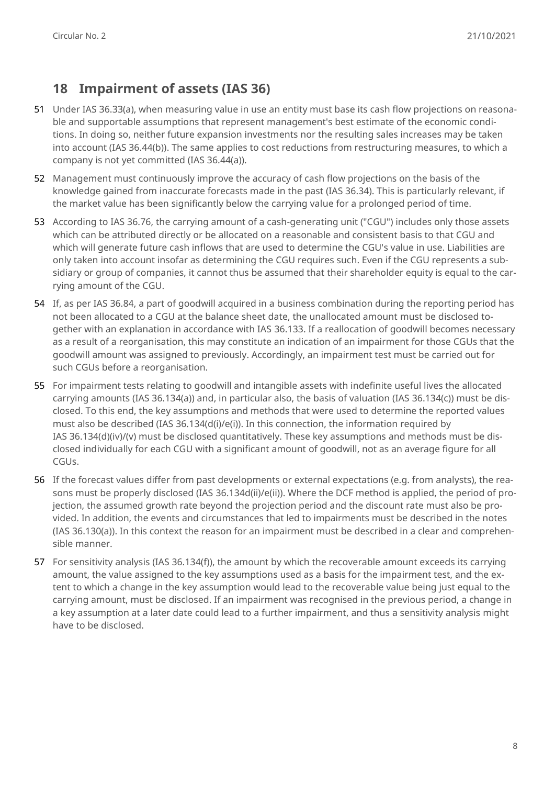#### **18 Impairment of assets (IAS 36)**

- 51 Under IAS 36.33(a), when measuring value in use an entity must base its cash flow projections on reasonable and supportable assumptions that represent management's best estimate of the economic conditions. In doing so, neither future expansion investments nor the resulting sales increases may be taken into account (IAS 36.44(b)). The same applies to cost reductions from restructuring measures, to which a company is not yet committed (IAS 36.44(a)).
- 52 Management must continuously improve the accuracy of cash flow projections on the basis of the knowledge gained from inaccurate forecasts made in the past (IAS 36.34). This is particularly relevant, if the market value has been significantly below the carrying value for a prolonged period of time.
- 53 According to IAS 36.76, the carrying amount of a cash-generating unit ("CGU") includes only those assets which can be attributed directly or be allocated on a reasonable and consistent basis to that CGU and which will generate future cash inflows that are used to determine the CGU's value in use. Liabilities are only taken into account insofar as determining the CGU requires such. Even if the CGU represents a subsidiary or group of companies, it cannot thus be assumed that their shareholder equity is equal to the carrying amount of the CGU.
- 54 If, as per IAS 36.84, a part of goodwill acquired in a business combination during the reporting period has not been allocated to a CGU at the balance sheet date, the unallocated amount must be disclosed together with an explanation in accordance with IAS 36.133. If a reallocation of goodwill becomes necessary as a result of a reorganisation, this may constitute an indication of an impairment for those CGUs that the goodwill amount was assigned to previously. Accordingly, an impairment test must be carried out for such CGUs before a reorganisation.
- 55 For impairment tests relating to goodwill and intangible assets with indefinite useful lives the allocated carrying amounts (IAS 36.134(a)) and, in particular also, the basis of valuation (IAS 36.134(c)) must be disclosed. To this end, the key assumptions and methods that were used to determine the reported values must also be described (IAS 36.134(d(i)/e(i)). In this connection, the information required by IAS 36.134(d)(iv)/(v) must be disclosed quantitatively. These key assumptions and methods must be disclosed individually for each CGU with a significant amount of goodwill, not as an average figure for all CGUs.
- 56 If the forecast values differ from past developments or external expectations (e.g. from analysts), the reasons must be properly disclosed (IAS 36.134d(ii)/e(ii)). Where the DCF method is applied, the period of projection, the assumed growth rate beyond the projection period and the discount rate must also be provided. In addition, the events and circumstances that led to impairments must be described in the notes (IAS 36.130(a)). In this context the reason for an impairment must be described in a clear and comprehensible manner.
- 57 For sensitivity analysis (IAS 36.134(f)), the amount by which the recoverable amount exceeds its carrying amount, the value assigned to the key assumptions used as a basis for the impairment test, and the extent to which a change in the key assumption would lead to the recoverable value being just equal to the carrying amount, must be disclosed. If an impairment was recognised in the previous period, a change in a key assumption at a later date could lead to a further impairment, and thus a sensitivity analysis might have to be disclosed.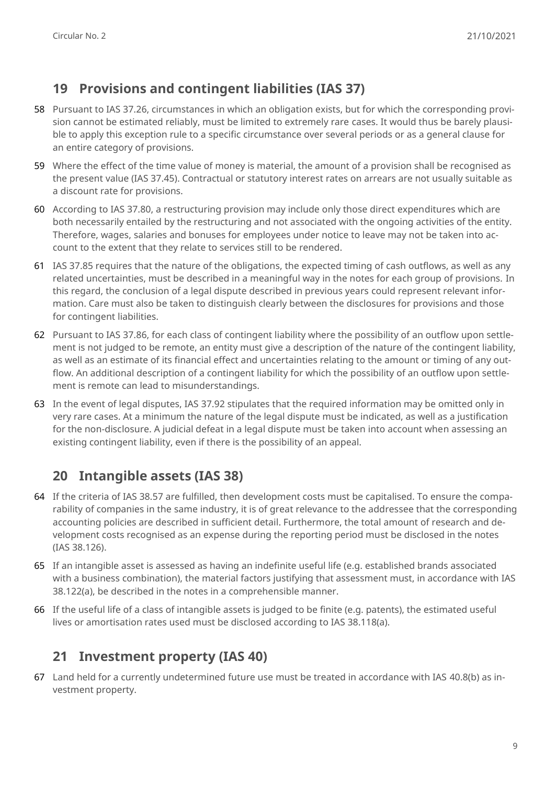## **19 Provisions and contingent liabilities (IAS 37)**

- 58 Pursuant to IAS 37.26, circumstances in which an obligation exists, but for which the corresponding provision cannot be estimated reliably, must be limited to extremely rare cases. It would thus be barely plausible to apply this exception rule to a specific circumstance over several periods or as a general clause for an entire category of provisions.
- 59 Where the effect of the time value of money is material, the amount of a provision shall be recognised as the present value (IAS 37.45). Contractual or statutory interest rates on arrears are not usually suitable as a discount rate for provisions.
- 60 According to IAS 37.80, a restructuring provision may include only those direct expenditures which are both necessarily entailed by the restructuring and not associated with the ongoing activities of the entity. Therefore, wages, salaries and bonuses for employees under notice to leave may not be taken into account to the extent that they relate to services still to be rendered.
- 61 IAS 37.85 requires that the nature of the obligations, the expected timing of cash outflows, as well as any related uncertainties, must be described in a meaningful way in the notes for each group of provisions. In this regard, the conclusion of a legal dispute described in previous years could represent relevant information. Care must also be taken to distinguish clearly between the disclosures for provisions and those for contingent liabilities.
- 62 Pursuant to IAS 37.86, for each class of contingent liability where the possibility of an outflow upon settlement is not judged to be remote, an entity must give a description of the nature of the contingent liability, as well as an estimate of its financial effect and uncertainties relating to the amount or timing of any outflow. An additional description of a contingent liability for which the possibility of an outflow upon settlement is remote can lead to misunderstandings.
- 63 In the event of legal disputes, IAS 37.92 stipulates that the required information may be omitted only in very rare cases. At a minimum the nature of the legal dispute must be indicated, as well as a justification for the non-disclosure. A judicial defeat in a legal dispute must be taken into account when assessing an existing contingent liability, even if there is the possibility of an appeal.

# **20 Intangible assets (IAS 38)**

- 64 If the criteria of IAS 38.57 are fulfilled, then development costs must be capitalised. To ensure the comparability of companies in the same industry, it is of great relevance to the addressee that the corresponding accounting policies are described in sufficient detail. Furthermore, the total amount of research and development costs recognised as an expense during the reporting period must be disclosed in the notes (IAS 38.126).
- 65 If an intangible asset is assessed as having an indefinite useful life (e.g. established brands associated with a business combination), the material factors justifying that assessment must, in accordance with IAS 38.122(a), be described in the notes in a comprehensible manner.
- 66 If the useful life of a class of intangible assets is judged to be finite (e.g. patents), the estimated useful lives or amortisation rates used must be disclosed according to IAS 38.118(a).

## **21 Investment property (IAS 40)**

67 Land held for a currently undetermined future use must be treated in accordance with IAS 40.8(b) as investment property.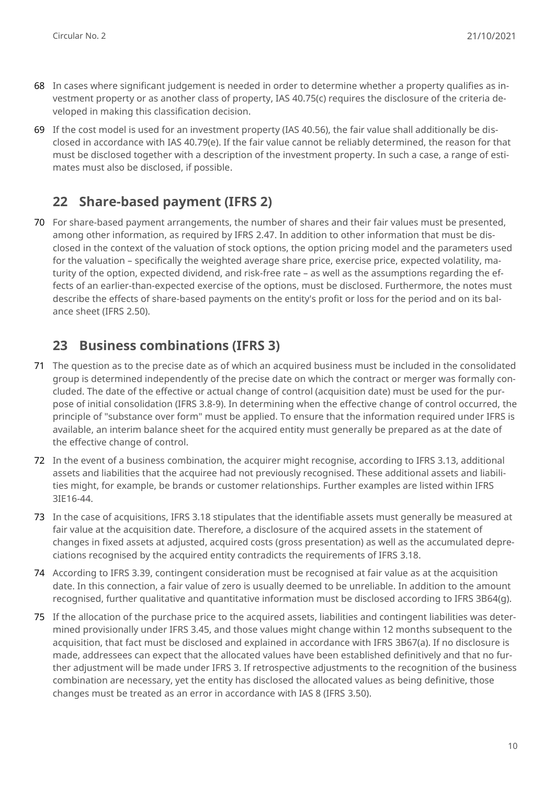- 68 In cases where significant judgement is needed in order to determine whether a property qualifies as investment property or as another class of property, IAS 40.75(c) requires the disclosure of the criteria developed in making this classification decision.
- 69 If the cost model is used for an investment property (IAS 40.56), the fair value shall additionally be disclosed in accordance with IAS 40.79(e). If the fair value cannot be reliably determined, the reason for that must be disclosed together with a description of the investment property. In such a case, a range of estimates must also be disclosed, if possible.

## **22 Share-based payment (IFRS 2)**

70 For share-based payment arrangements, the number of shares and their fair values must be presented, among other information, as required by IFRS 2.47. In addition to other information that must be disclosed in the context of the valuation of stock options, the option pricing model and the parameters used for the valuation – specifically the weighted average share price, exercise price, expected volatility, maturity of the option, expected dividend, and risk-free rate – as well as the assumptions regarding the effects of an earlier-than-expected exercise of the options, must be disclosed. Furthermore, the notes must describe the effects of share-based payments on the entity's profit or loss for the period and on its balance sheet (IFRS 2.50).

## **23 Business combinations (IFRS 3)**

- 71 The question as to the precise date as of which an acquired business must be included in the consolidated group is determined independently of the precise date on which the contract or merger was formally concluded. The date of the effective or actual change of control (acquisition date) must be used for the purpose of initial consolidation (IFRS 3.8-9). In determining when the effective change of control occurred, the principle of "substance over form" must be applied. To ensure that the information required under IFRS is available, an interim balance sheet for the acquired entity must generally be prepared as at the date of the effective change of control.
- 72 In the event of a business combination, the acquirer might recognise, according to IFRS 3.13, additional assets and liabilities that the acquiree had not previously recognised. These additional assets and liabilities might, for example, be brands or customer relationships. Further examples are listed within IFRS 3IE16-44.
- 73 In the case of acquisitions, IFRS 3.18 stipulates that the identifiable assets must generally be measured at fair value at the acquisition date. Therefore, a disclosure of the acquired assets in the statement of changes in fixed assets at adjusted, acquired costs (gross presentation) as well as the accumulated depreciations recognised by the acquired entity contradicts the requirements of IFRS 3.18.
- 74 According to IFRS 3.39, contingent consideration must be recognised at fair value as at the acquisition date. In this connection, a fair value of zero is usually deemed to be unreliable. In addition to the amount recognised, further qualitative and quantitative information must be disclosed according to IFRS 3B64(g).
- 75 If the allocation of the purchase price to the acquired assets, liabilities and contingent liabilities was determined provisionally under IFRS 3.45, and those values might change within 12 months subsequent to the acquisition, that fact must be disclosed and explained in accordance with IFRS 3B67(a). If no disclosure is made, addressees can expect that the allocated values have been established definitively and that no further adjustment will be made under IFRS 3. If retrospective adjustments to the recognition of the business combination are necessary, yet the entity has disclosed the allocated values as being definitive, those changes must be treated as an error in accordance with IAS 8 (IFRS 3.50).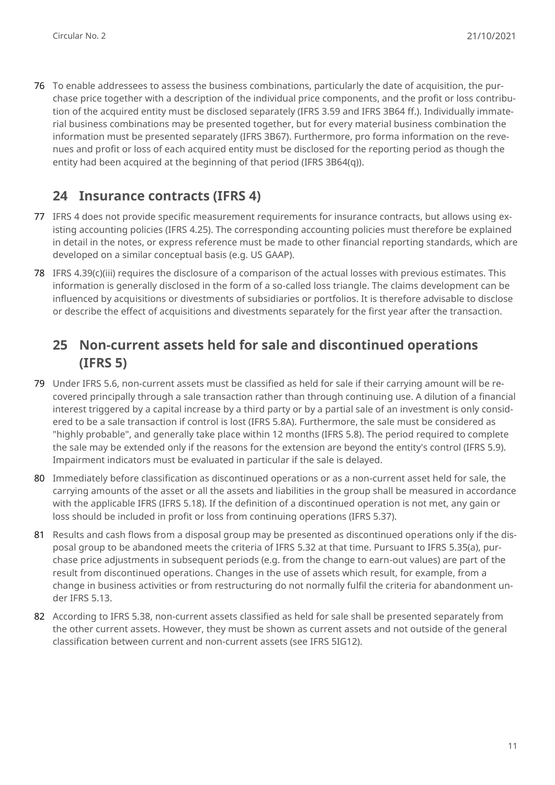76 To enable addressees to assess the business combinations, particularly the date of acquisition, the purchase price together with a description of the individual price components, and the profit or loss contribution of the acquired entity must be disclosed separately (IFRS 3.59 and IFRS 3B64 ff.). Individually immaterial business combinations may be presented together, but for every material business combination the information must be presented separately (IFRS 3B67). Furthermore, pro forma information on the revenues and profit or loss of each acquired entity must be disclosed for the reporting period as though the entity had been acquired at the beginning of that period (IFRS 3B64(q)).

## **24 Insurance contracts (IFRS 4)**

- 77 IFRS 4 does not provide specific measurement requirements for insurance contracts, but allows using existing accounting policies (IFRS 4.25). The corresponding accounting policies must therefore be explained in detail in the notes, or express reference must be made to other financial reporting standards, which are developed on a similar conceptual basis (e.g. US GAAP).
- 78 IFRS 4.39(c)(iii) requires the disclosure of a comparison of the actual losses with previous estimates. This information is generally disclosed in the form of a so-called loss triangle. The claims development can be influenced by acquisitions or divestments of subsidiaries or portfolios. It is therefore advisable to disclose or describe the effect of acquisitions and divestments separately for the first year after the transaction.

## **25 Non-current assets held for sale and discontinued operations (IFRS 5)**

- 79 Under IFRS 5.6, non-current assets must be classified as held for sale if their carrying amount will be recovered principally through a sale transaction rather than through continuing use. A dilution of a financial interest triggered by a capital increase by a third party or by a partial sale of an investment is only considered to be a sale transaction if control is lost (IFRS 5.8A). Furthermore, the sale must be considered as "highly probable", and generally take place within 12 months (IFRS 5.8). The period required to complete the sale may be extended only if the reasons for the extension are beyond the entity's control (IFRS 5.9). Impairment indicators must be evaluated in particular if the sale is delayed.
- 80 Immediately before classification as discontinued operations or as a non-current asset held for sale, the carrying amounts of the asset or all the assets and liabilities in the group shall be measured in accordance with the applicable IFRS (IFRS 5.18). If the definition of a discontinued operation is not met, any gain or loss should be included in profit or loss from continuing operations (IFRS 5.37).
- 81 Results and cash flows from a disposal group may be presented as discontinued operations only if the disposal group to be abandoned meets the criteria of IFRS 5.32 at that time. Pursuant to IFRS 5.35(a), purchase price adjustments in subsequent periods (e.g. from the change to earn-out values) are part of the result from discontinued operations. Changes in the use of assets which result, for example, from a change in business activities or from restructuring do not normally fulfil the criteria for abandonment under IFRS 5.13.
- 82 According to IFRS 5.38, non-current assets classified as held for sale shall be presented separately from the other current assets. However, they must be shown as current assets and not outside of the general classification between current and non-current assets (see IFRS 5IG12).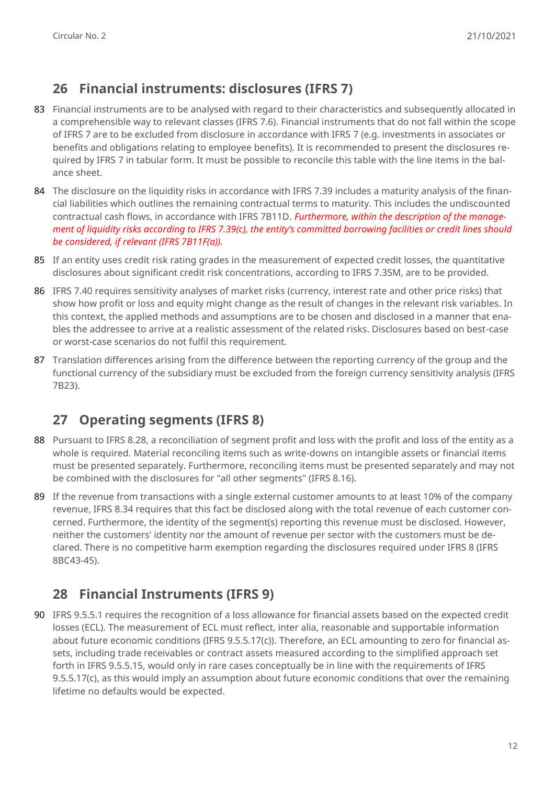## **26 Financial instruments: disclosures (IFRS 7)**

- 83 Financial instruments are to be analysed with regard to their characteristics and subsequently allocated in a comprehensible way to relevant classes (IFRS 7.6). Financial instruments that do not fall within the scope of IFRS 7 are to be excluded from disclosure in accordance with IFRS 7 (e.g. investments in associates or benefits and obligations relating to employee benefits). It is recommended to present the disclosures required by IFRS 7 in tabular form. It must be possible to reconcile this table with the line items in the balance sheet.
- 84 The disclosure on the liquidity risks in accordance with IFRS 7.39 includes a maturity analysis of the financial liabilities which outlines the remaining contractual terms to maturity. This includes the undiscounted contractual cash flows, in accordance with IFRS 7B11D. *Furthermore, within the description of the management of liquidity risks according to IFRS 7.39(c), the entity's committed borrowing facilities or credit lines should be considered, if relevant (IFRS 7B11F(a)).*
- 85 If an entity uses credit risk rating grades in the measurement of expected credit losses, the quantitative disclosures about significant credit risk concentrations, according to IFRS 7.35M, are to be provided.
- 86 IFRS 7.40 requires sensitivity analyses of market risks (currency, interest rate and other price risks) that show how profit or loss and equity might change as the result of changes in the relevant risk variables. In this context, the applied methods and assumptions are to be chosen and disclosed in a manner that enables the addressee to arrive at a realistic assessment of the related risks. Disclosures based on best-case or worst-case scenarios do not fulfil this requirement.
- 87 Translation differences arising from the difference between the reporting currency of the group and the functional currency of the subsidiary must be excluded from the foreign currency sensitivity analysis (IFRS 7B23).

# **27 Operating segments (IFRS 8)**

- 88 Pursuant to IFRS 8.28, a reconciliation of segment profit and loss with the profit and loss of the entity as a whole is required. Material reconciling items such as write-downs on intangible assets or financial items must be presented separately. Furthermore, reconciling items must be presented separately and may not be combined with the disclosures for "all other segments" (IFRS 8.16).
- 89 If the revenue from transactions with a single external customer amounts to at least 10% of the company revenue, IFRS 8.34 requires that this fact be disclosed along with the total revenue of each customer concerned. Furthermore, the identity of the segment(s) reporting this revenue must be disclosed. However, neither the customers' identity nor the amount of revenue per sector with the customers must be declared. There is no competitive harm exemption regarding the disclosures required under IFRS 8 (IFRS 8BC43-45).

## **28 Financial Instruments (IFRS 9)**

90 IFRS 9.5.5.1 requires the recognition of a loss allowance for financial assets based on the expected credit losses (ECL). The measurement of ECL must reflect, inter alia, reasonable and supportable information about future economic conditions (IFRS 9.5.5.17(c)). Therefore, an ECL amounting to zero for financial assets, including trade receivables or contract assets measured according to the simplified approach set forth in IFRS 9.5.5.15, would only in rare cases conceptually be in line with the requirements of IFRS 9.5.5.17(c), as this would imply an assumption about future economic conditions that over the remaining lifetime no defaults would be expected.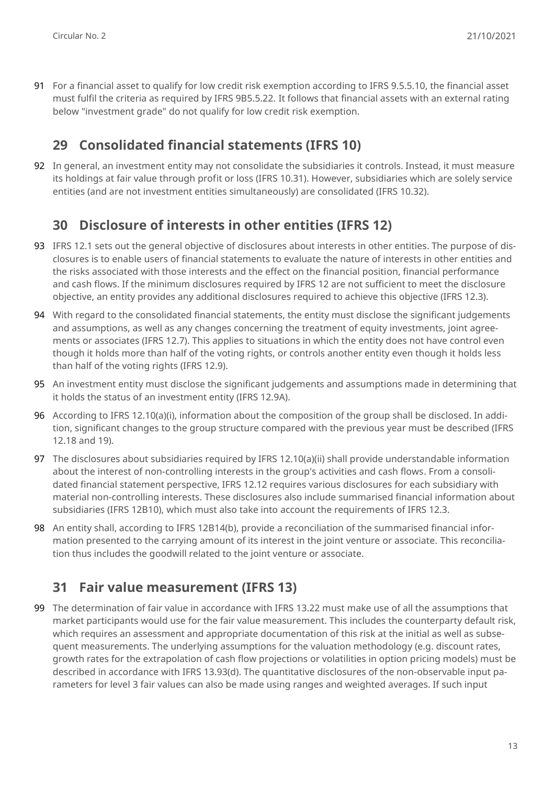91 For a financial asset to qualify for low credit risk exemption according to IFRS 9.5.5.10, the financial asset must fulfil the criteria as required by IFRS 9B5.5.22. It follows that financial assets with an external rating below "investment grade" do not qualify for low credit risk exemption.

#### **29 Consolidated financial statements (IFRS 10)**

92 In general, an investment entity may not consolidate the subsidiaries it controls. Instead, it must measure its holdings at fair value through profit or loss (IFRS 10.31). However, subsidiaries which are solely service entities (and are not investment entities simultaneously) are consolidated (IFRS 10.32).

#### **30 Disclosure of interests in other entities (IFRS 12)**

- 93 IFRS 12.1 sets out the general objective of disclosures about interests in other entities. The purpose of disclosures is to enable users of financial statements to evaluate the nature of interests in other entities and the risks associated with those interests and the effect on the financial position, financial performance and cash flows. If the minimum disclosures required by IFRS 12 are not sufficient to meet the disclosure objective, an entity provides any additional disclosures required to achieve this objective (IFRS 12.3).
- 94 With regard to the consolidated financial statements, the entity must disclose the significant judgements and assumptions, as well as any changes concerning the treatment of equity investments, joint agreements or associates (IFRS 12.7). This applies to situations in which the entity does not have control even though it holds more than half of the voting rights, or controls another entity even though it holds less than half of the voting rights (IFRS 12.9).
- 95 An investment entity must disclose the significant judgements and assumptions made in determining that it holds the status of an investment entity (IFRS 12.9A).
- 96 According to IFRS 12.10(a)(i), information about the composition of the group shall be disclosed. In addition, significant changes to the group structure compared with the previous year must be described (IFRS 12.18 and 19).
- 97 The disclosures about subsidiaries required by IFRS 12.10(a)(ii) shall provide understandable information about the interest of non-controlling interests in the group's activities and cash flows. From a consolidated financial statement perspective, IFRS 12.12 requires various disclosures for each subsidiary with material non-controlling interests. These disclosures also include summarised financial information about subsidiaries (IFRS 12B10), which must also take into account the requirements of IFRS 12.3.
- 98 An entity shall, according to IFRS 12B14(b), provide a reconciliation of the summarised financial information presented to the carrying amount of its interest in the joint venture or associate. This reconciliation thus includes the goodwill related to the joint venture or associate.

#### **31 Fair value measurement (IFRS 13)**

99 The determination of fair value in accordance with IFRS 13.22 must make use of all the assumptions that market participants would use for the fair value measurement. This includes the counterparty default risk, which requires an assessment and appropriate documentation of this risk at the initial as well as subsequent measurements. The underlying assumptions for the valuation methodology (e.g. discount rates, growth rates for the extrapolation of cash flow projections or volatilities in option pricing models) must be described in accordance with IFRS 13.93(d). The quantitative disclosures of the non-observable input parameters for level 3 fair values can also be made using ranges and weighted averages. If such input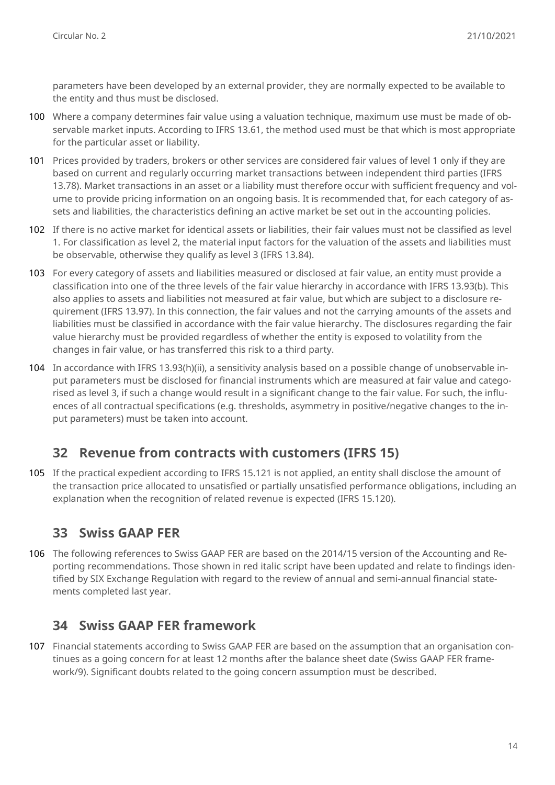parameters have been developed by an external provider, they are normally expected to be available to the entity and thus must be disclosed.

- 100 Where a company determines fair value using a valuation technique, maximum use must be made of observable market inputs. According to IFRS 13.61, the method used must be that which is most appropriate for the particular asset or liability.
- 101 Prices provided by traders, brokers or other services are considered fair values of level 1 only if they are based on current and regularly occurring market transactions between independent third parties (IFRS 13.78). Market transactions in an asset or a liability must therefore occur with sufficient frequency and volume to provide pricing information on an ongoing basis. It is recommended that, for each category of assets and liabilities, the characteristics defining an active market be set out in the accounting policies.
- 102 If there is no active market for identical assets or liabilities, their fair values must not be classified as level 1. For classification as level 2, the material input factors for the valuation of the assets and liabilities must be observable, otherwise they qualify as level 3 (IFRS 13.84).
- 103 For every category of assets and liabilities measured or disclosed at fair value, an entity must provide a classification into one of the three levels of the fair value hierarchy in accordance with IFRS 13.93(b). This also applies to assets and liabilities not measured at fair value, but which are subject to a disclosure requirement (IFRS 13.97). In this connection, the fair values and not the carrying amounts of the assets and liabilities must be classified in accordance with the fair value hierarchy. The disclosures regarding the fair value hierarchy must be provided regardless of whether the entity is exposed to volatility from the changes in fair value, or has transferred this risk to a third party.
- 104 In accordance with IFRS 13.93(h)(ii), a sensitivity analysis based on a possible change of unobservable input parameters must be disclosed for financial instruments which are measured at fair value and categorised as level 3, if such a change would result in a significant change to the fair value. For such, the influences of all contractual specifications (e.g. thresholds, asymmetry in positive/negative changes to the input parameters) must be taken into account.

#### **32 Revenue from contracts with customers (IFRS 15)**

105 If the practical expedient according to IFRS 15.121 is not applied, an entity shall disclose the amount of the transaction price allocated to unsatisfied or partially unsatisfied performance obligations, including an explanation when the recognition of related revenue is expected (IFRS 15.120).

#### **33 Swiss GAAP FER**

106 The following references to Swiss GAAP FER are based on the 2014/15 version of the Accounting and Reporting recommendations. Those shown in red italic script have been updated and relate to findings identified by SIX Exchange Regulation with regard to the review of annual and semi-annual financial statements completed last year.

#### **34 Swiss GAAP FER framework**

107 Financial statements according to Swiss GAAP FER are based on the assumption that an organisation continues as a going concern for at least 12 months after the balance sheet date (Swiss GAAP FER framework/9). Significant doubts related to the going concern assumption must be described.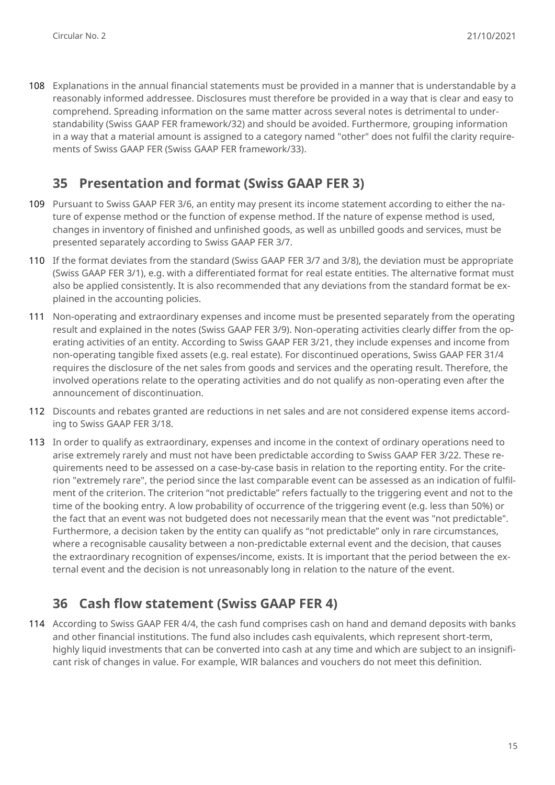108 Explanations in the annual financial statements must be provided in a manner that is understandable by a reasonably informed addressee. Disclosures must therefore be provided in a way that is clear and easy to comprehend. Spreading information on the same matter across several notes is detrimental to understandability (Swiss GAAP FER framework/32) and should be avoided. Furthermore, grouping information in a way that a material amount is assigned to a category named "other" does not fulfil the clarity requirements of Swiss GAAP FER (Swiss GAAP FER framework/33).

## **35 Presentation and format (Swiss GAAP FER 3)**

- 109 Pursuant to Swiss GAAP FER 3/6, an entity may present its income statement according to either the nature of expense method or the function of expense method. If the nature of expense method is used, changes in inventory of finished and unfinished goods, as well as unbilled goods and services, must be presented separately according to Swiss GAAP FER 3/7.
- 110 If the format deviates from the standard (Swiss GAAP FER 3/7 and 3/8), the deviation must be appropriate (Swiss GAAP FER 3/1), e.g. with a differentiated format for real estate entities. The alternative format must also be applied consistently. It is also recommended that any deviations from the standard format be explained in the accounting policies.
- 111 Non-operating and extraordinary expenses and income must be presented separately from the operating result and explained in the notes (Swiss GAAP FER 3/9). Non-operating activities clearly differ from the operating activities of an entity. According to Swiss GAAP FER 3/21, they include expenses and income from non-operating tangible fixed assets (e.g. real estate). For discontinued operations, Swiss GAAP FER 31/4 requires the disclosure of the net sales from goods and services and the operating result. Therefore, the involved operations relate to the operating activities and do not qualify as non-operating even after the announcement of discontinuation.
- 112 Discounts and rebates granted are reductions in net sales and are not considered expense items according to Swiss GAAP FER 3/18.
- 113 In order to qualify as extraordinary, expenses and income in the context of ordinary operations need to arise extremely rarely and must not have been predictable according to Swiss GAAP FER 3/22. These requirements need to be assessed on a case-by-case basis in relation to the reporting entity. For the criterion "extremely rare", the period since the last comparable event can be assessed as an indication of fulfilment of the criterion. The criterion "not predictable" refers factually to the triggering event and not to the time of the booking entry. A low probability of occurrence of the triggering event (e.g. less than 50%) or the fact that an event was not budgeted does not necessarily mean that the event was "not predictable". Furthermore, a decision taken by the entity can qualify as "not predictable" only in rare circumstances, where a recognisable causality between a non-predictable external event and the decision, that causes the extraordinary recognition of expenses/income, exists. It is important that the period between the external event and the decision is not unreasonably long in relation to the nature of the event.

#### **36 Cash flow statement (Swiss GAAP FER 4)**

114 According to Swiss GAAP FER 4/4, the cash fund comprises cash on hand and demand deposits with banks and other financial institutions. The fund also includes cash equivalents, which represent short-term, highly liquid investments that can be converted into cash at any time and which are subject to an insignificant risk of changes in value. For example, WIR balances and vouchers do not meet this definition.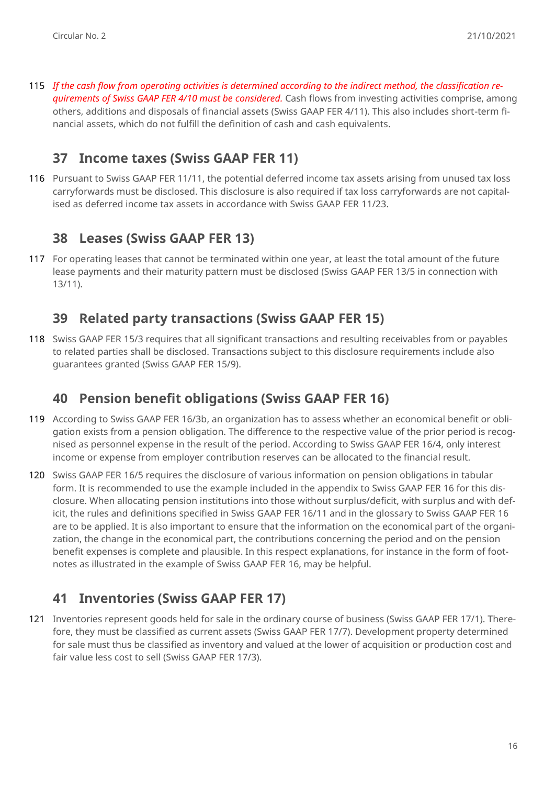115 *If the cash flow from operating activities is determined according to the indirect method, the classification requirements of Swiss GAAP FER 4/10 must be considered.* Cash flows from investing activities comprise, among others, additions and disposals of financial assets (Swiss GAAP FER 4/11). This also includes short-term financial assets, which do not fulfill the definition of cash and cash equivalents.

#### **37 Income taxes (Swiss GAAP FER 11)**

116 Pursuant to Swiss GAAP FER 11/11, the potential deferred income tax assets arising from unused tax loss carryforwards must be disclosed. This disclosure is also required if tax loss carryforwards are not capitalised as deferred income tax assets in accordance with Swiss GAAP FER 11/23.

#### **38 Leases (Swiss GAAP FER 13)**

117 For operating leases that cannot be terminated within one year, at least the total amount of the future lease payments and their maturity pattern must be disclosed (Swiss GAAP FER 13/5 in connection with 13/11).

#### **39 Related party transactions (Swiss GAAP FER 15)**

118 Swiss GAAP FER 15/3 requires that all significant transactions and resulting receivables from or payables to related parties shall be disclosed. Transactions subject to this disclosure requirements include also guarantees granted (Swiss GAAP FER 15/9).

#### **40 Pension benefit obligations (Swiss GAAP FER 16)**

- 119 According to Swiss GAAP FER 16/3b, an organization has to assess whether an economical benefit or obligation exists from a pension obligation. The difference to the respective value of the prior period is recognised as personnel expense in the result of the period. According to Swiss GAAP FER 16/4, only interest income or expense from employer contribution reserves can be allocated to the financial result.
- 120 Swiss GAAP FER 16/5 requires the disclosure of various information on pension obligations in tabular form. It is recommended to use the example included in the appendix to Swiss GAAP FER 16 for this disclosure. When allocating pension institutions into those without surplus/deficit, with surplus and with deficit, the rules and definitions specified in Swiss GAAP FER 16/11 and in the glossary to Swiss GAAP FER 16 are to be applied. It is also important to ensure that the information on the economical part of the organization, the change in the economical part, the contributions concerning the period and on the pension benefit expenses is complete and plausible. In this respect explanations, for instance in the form of footnotes as illustrated in the example of Swiss GAAP FER 16, may be helpful.

#### **41 Inventories (Swiss GAAP FER 17)**

121 Inventories represent goods held for sale in the ordinary course of business (Swiss GAAP FER 17/1). Therefore, they must be classified as current assets (Swiss GAAP FER 17/7). Development property determined for sale must thus be classified as inventory and valued at the lower of acquisition or production cost and fair value less cost to sell (Swiss GAAP FER 17/3).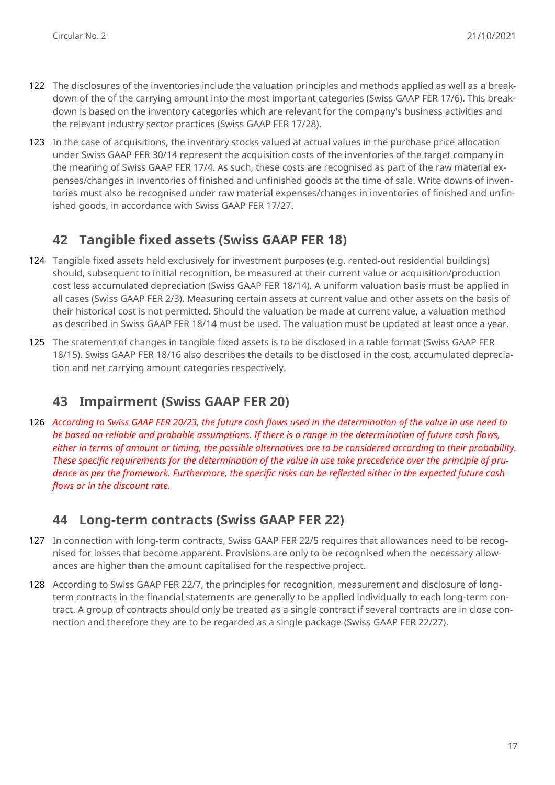- 122 The disclosures of the inventories include the valuation principles and methods applied as well as a breakdown of the of the carrying amount into the most important categories (Swiss GAAP FER 17/6). This breakdown is based on the inventory categories which are relevant for the company's business activities and the relevant industry sector practices (Swiss GAAP FER 17/28).
- 123 In the case of acquisitions, the inventory stocks valued at actual values in the purchase price allocation under Swiss GAAP FER 30/14 represent the acquisition costs of the inventories of the target company in the meaning of Swiss GAAP FER 17/4. As such, these costs are recognised as part of the raw material expenses/changes in inventories of finished and unfinished goods at the time of sale. Write downs of inventories must also be recognised under raw material expenses/changes in inventories of finished and unfinished goods, in accordance with Swiss GAAP FER 17/27.

## **42 Tangible fixed assets (Swiss GAAP FER 18)**

- 124 Tangible fixed assets held exclusively for investment purposes (e.g. rented-out residential buildings) should, subsequent to initial recognition, be measured at their current value or acquisition/production cost less accumulated depreciation (Swiss GAAP FER 18/14). A uniform valuation basis must be applied in all cases (Swiss GAAP FER 2/3). Measuring certain assets at current value and other assets on the basis of their historical cost is not permitted. Should the valuation be made at current value, a valuation method as described in Swiss GAAP FER 18/14 must be used. The valuation must be updated at least once a year.
- 125 The statement of changes in tangible fixed assets is to be disclosed in a table format (Swiss GAAP FER 18/15). Swiss GAAP FER 18/16 also describes the details to be disclosed in the cost, accumulated depreciation and net carrying amount categories respectively.

## **43 Impairment (Swiss GAAP FER 20)**

126 *According to Swiss GAAP FER 20/23, the future cash flows used in the determination of the value in use need to be based on reliable and probable assumptions. If there is a range in the determination of future cash flows, either in terms of amount or timing, the possible alternatives are to be considered according to their probability. These specific requirements for the determination of the value in use take precedence over the principle of prudence as per the framework. Furthermore, the specific risks can be reflected either in the expected future cash flows or in the discount rate.*

#### **44 Long-term contracts (Swiss GAAP FER 22)**

- 127 In connection with long-term contracts, Swiss GAAP FER 22/5 requires that allowances need to be recognised for losses that become apparent. Provisions are only to be recognised when the necessary allowances are higher than the amount capitalised for the respective project.
- 128 According to Swiss GAAP FER 22/7, the principles for recognition, measurement and disclosure of longterm contracts in the financial statements are generally to be applied individually to each long-term contract. A group of contracts should only be treated as a single contract if several contracts are in close connection and therefore they are to be regarded as a single package (Swiss GAAP FER 22/27).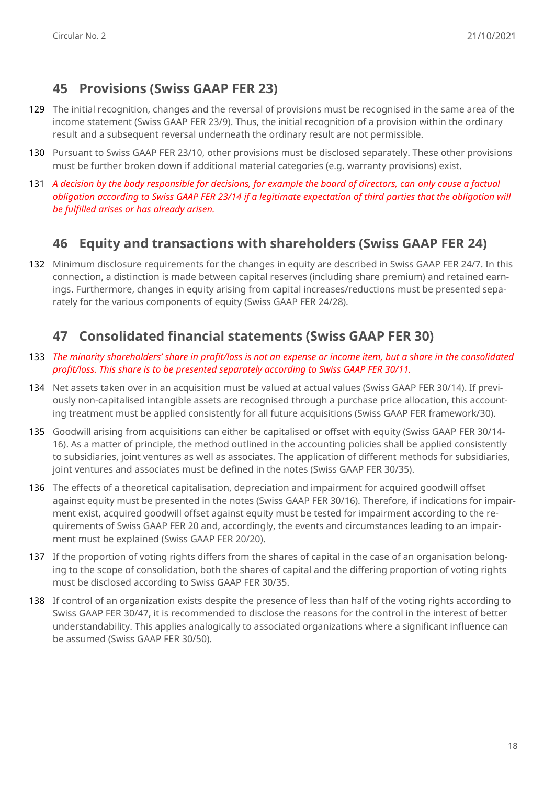## **45 Provisions (Swiss GAAP FER 23)**

- 129 The initial recognition, changes and the reversal of provisions must be recognised in the same area of the income statement (Swiss GAAP FER 23/9). Thus, the initial recognition of a provision within the ordinary result and a subsequent reversal underneath the ordinary result are not permissible.
- 130 Pursuant to Swiss GAAP FER 23/10, other provisions must be disclosed separately. These other provisions must be further broken down if additional material categories (e.g. warranty provisions) exist.
- 131 *A decision by the body responsible for decisions, for example the board of directors, can only cause a factual obligation according to Swiss GAAP FER 23/14 if a legitimate expectation of third parties that the obligation will be fulfilled arises or has already arisen.*

## **46 Equity and transactions with shareholders (Swiss GAAP FER 24)**

132 Minimum disclosure requirements for the changes in equity are described in Swiss GAAP FER 24/7. In this connection, a distinction is made between capital reserves (including share premium) and retained earnings. Furthermore, changes in equity arising from capital increases/reductions must be presented separately for the various components of equity (Swiss GAAP FER 24/28).

# **47 Consolidated financial statements (Swiss GAAP FER 30)**

- 133 *The minority shareholders' share in profit/loss is not an expense or income item, but a share in the consolidated profit/loss. This share is to be presented separately according to Swiss GAAP FER 30/11.*
- 134 Net assets taken over in an acquisition must be valued at actual values (Swiss GAAP FER 30/14). If previously non-capitalised intangible assets are recognised through a purchase price allocation, this accounting treatment must be applied consistently for all future acquisitions (Swiss GAAP FER framework/30).
- 135 Goodwill arising from acquisitions can either be capitalised or offset with equity (Swiss GAAP FER 30/14- 16). As a matter of principle, the method outlined in the accounting policies shall be applied consistently to subsidiaries, joint ventures as well as associates. The application of different methods for subsidiaries, joint ventures and associates must be defined in the notes (Swiss GAAP FER 30/35).
- 136 The effects of a theoretical capitalisation, depreciation and impairment for acquired goodwill offset against equity must be presented in the notes (Swiss GAAP FER 30/16). Therefore, if indications for impairment exist, acquired goodwill offset against equity must be tested for impairment according to the requirements of Swiss GAAP FER 20 and, accordingly, the events and circumstances leading to an impairment must be explained (Swiss GAAP FER 20/20).
- 137 If the proportion of voting rights differs from the shares of capital in the case of an organisation belonging to the scope of consolidation, both the shares of capital and the differing proportion of voting rights must be disclosed according to Swiss GAAP FER 30/35.
- 138 If control of an organization exists despite the presence of less than half of the voting rights according to Swiss GAAP FER 30/47, it is recommended to disclose the reasons for the control in the interest of better understandability. This applies analogically to associated organizations where a significant influence can be assumed (Swiss GAAP FER 30/50).